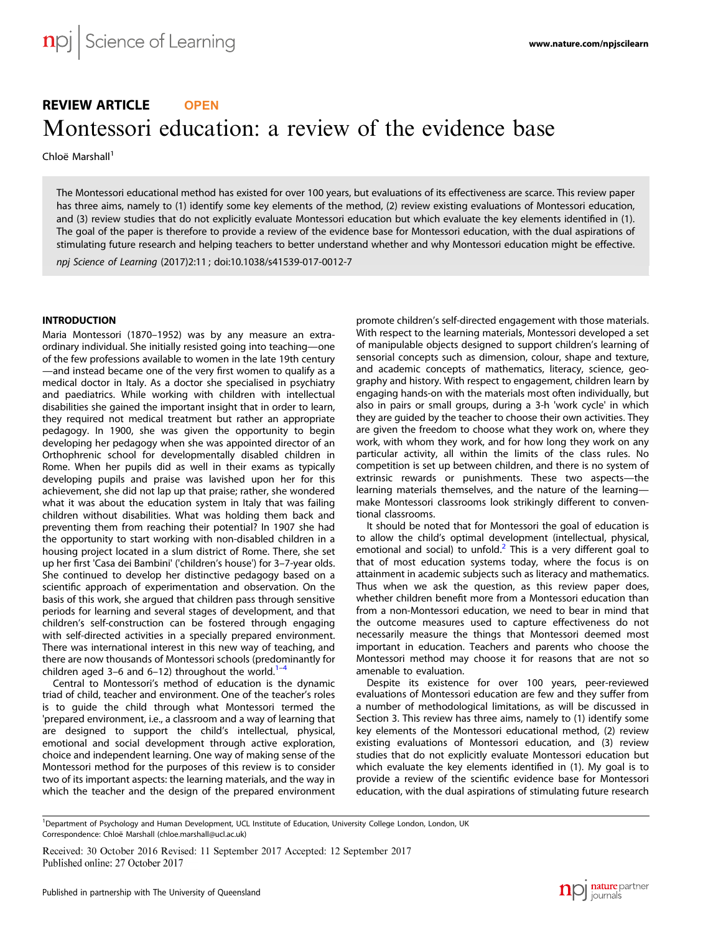## REVIEW ARTICLE **OPEN** Montessori education: a review of the evidence base

Chloë Marshall<sup>1</sup>

The Montessori educational method has existed for over 100 years, but evaluations of its effectiveness are scarce. This review paper has three aims, namely to (1) identify some key elements of the method, (2) review existing evaluations of Montessori education, and (3) review studies that do not explicitly evaluate Montessori education but which evaluate the key elements identified in (1). The goal of the paper is therefore to provide a review of the evidence base for Montessori education, with the dual aspirations of stimulating future research and helping teachers to better understand whether and why Montessori education might be effective.

npj Science of Learning (2017) 2:11 ; doi:10.1038/s41[539-017-0012-7](https://doi.org/10.1038/s41539-017-0012-7)

### **INTRODUCTION**

Maria Montessori (1870–1952) was by any measure an extraordinary individual. She initially resisted going into teaching—one of the few professions available to women in the late 19th century —and instead became one of the very first women to qualify as a medical doctor in Italy. As a doctor she specialised in psychiatry and paediatrics. While working with children with intellectual disabilities she gained the important insight that in order to learn, they required not medical treatment but rather an appropriate pedagogy. In 1900, she was given the opportunity to begin developing her pedagogy when she was appointed director of an Orthophrenic school for developmentally disabled children in Rome. When her pupils did as well in their exams as typically developing pupils and praise was lavished upon her for this achievement, she did not lap up that praise; rather, she wondered what it was about the education system in Italy that was failing children without disabilities. What was holding them back and preventing them from reaching their potential? In 1907 she had the opportunity to start working with non-disabled children in a housing project located in a slum district of Rome. There, she set up her first 'Casa dei Bambini' ('children's house') for 3–7-year olds. She continued to develop her distinctive pedagogy based on a scientific approach of experimentation and observation. On the basis of this work, she argued that children pass through sensitive periods for learning and several stages of development, and that children's self-construction can be fostered through engaging with self-directed activities in a specially prepared environment. There was international interest in this new way of teaching, and there are now thousands of Montessori schools (predominantly for children aged 3–6 and 6–12) throughout the world.<sup>1–[4](#page-7-0)</sup>

Central to Montessori's method of education is the dynamic triad of child, teacher and environment. One of the teacher's roles is to guide the child through what Montessori termed the 'prepared environment, i.e., a classroom and a way of learning that are designed to support the child's intellectual, physical, emotional and social development through active exploration, choice and independent learning. One way of making sense of the Montessori method for the purposes of this review is to consider two of its important aspects: the learning materials, and the way in which the teacher and the design of the prepared environment promote children's self-directed engagement with those materials. With respect to the learning materials, Montessori developed a set of manipulable objects designed to support children's learning of sensorial concepts such as dimension, colour, shape and texture, and academic concepts of mathematics, literacy, science, geography and history. With respect to engagement, children learn by engaging hands-on with the materials most often individually, but also in pairs or small groups, during a 3-h 'work cycle' in which they are guided by the teacher to choose their own activities. They are given the freedom to choose what they work on, where they work, with whom they work, and for how long they work on any particular activity, all within the limits of the class rules. No competition is set up between children, and there is no system of extrinsic rewards or punishments. These two aspects—the learning materials themselves, and the nature of the learning make Montessori classrooms look strikingly different to conventional classrooms.

It should be noted that for Montessori the goal of education is to allow the child's optimal development (intellectual, physical, emotional and social) to unfold.<sup>[2](#page-7-0)</sup> This is a very different goal to that of most education systems today, where the focus is on attainment in academic subjects such as literacy and mathematics. Thus when we ask the question, as this review paper does, whether children benefit more from a Montessori education than from a non-Montessori education, we need to bear in mind that the outcome measures used to capture effectiveness do not necessarily measure the things that Montessori deemed most important in education. Teachers and parents who choose the Montessori method may choose it for reasons that are not so amenable to evaluation.

Despite its existence for over 100 years, peer-reviewed evaluations of Montessori education are few and they suffer from a number of methodological limitations, as will be discussed in Section 3. This review has three aims, namely to (1) identify some key elements of the Montessori educational method, (2) review existing evaluations of Montessori education, and (3) review studies that do not explicitly evaluate Montessori education but which evaluate the key elements identified in (1). My goal is to provide a review of the scientific evidence base for Montessori education, with the dual aspirations of stimulating future research

Received: 30 October 2016 Revised: 11 September 2017 Accepted: 12 September 2017 Published online: 27 October 2017

<sup>&</sup>lt;sup>1</sup>Department of Psychology and Human Development, UCL Institute of Education, University College London, London, UK Correspondence: Chloë Marshall [\(chloe.marshall@ucl.ac.uk\)](mailto:chloe.marshall@ucl.ac.uk)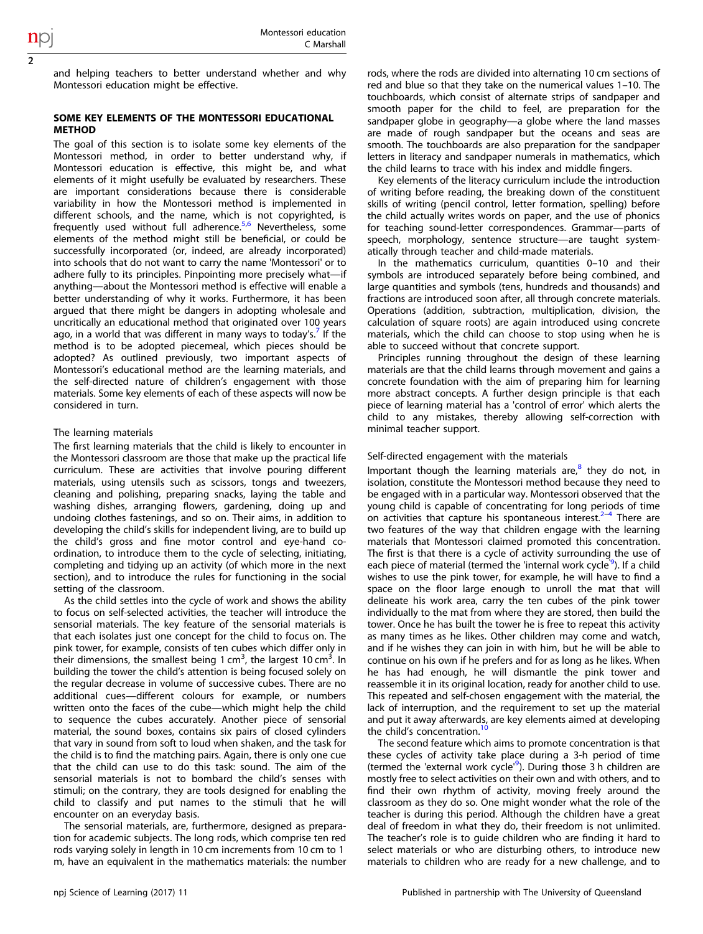and helping teachers to better understand whether and why Montessori education might be effective.

# SOME KEY ELEMENTS OF THE MONTESSORI EDUCATIONAL

mences **of this section is to isolate some key elements of the** Montessori method, in order to better understand why, if Montessori education is effective, this might be, and what elements of it might usefully be evaluated by researchers. These are important considerations because there is considerable variability in how the Montessori method is implemented in different schools, and the name, which is not copyrighted, is frequently used without full adherence.<sup>[5,6](#page-7-0)</sup> Nevertheless, some elements of the method might still be beneficial, or could be successfully incorporated (or, indeed, are already incorporated) into schools that do not want to carry the name 'Montessori' or to adhere fully to its principles. Pinpointing more precisely what—if anything—about the Montessori method is effective will enable a better understanding of why it works. Furthermore, it has been argued that there might be dangers in adopting wholesale and uncritically an educational method that originated over 100 years ago, in a world that was different in many ways to today's.<sup>[7](#page-7-0)</sup> If the method is to be adopted piecemeal, which pieces should be adopted? As outlined previously, two important aspects of Montessori's educational method are the learning materials, and the self-directed nature of children's engagement with those materials. Some key elements of each of these aspects will now be considered in turn.

### The learning materials

The first learning materials that the child is likely to encounter in the Montessori classroom are those that make up the practical life curriculum. These are activities that involve pouring different materials, using utensils such as scissors, tongs and tweezers, cleaning and polishing, preparing snacks, laying the table and washing dishes, arranging flowers, gardening, doing up and undoing clothes fastenings, and so on. Their aims, in addition to developing the child's skills for independent living, are to build up the child's gross and fine motor control and eye-hand coordination, to introduce them to the cycle of selecting, initiating, completing and tidying up an activity (of which more in the next section), and to introduce the rules for functioning in the social setting of the classroom.

As the child settles into the cycle of work and shows the ability to focus on self-selected activities, the teacher will introduce the sensorial materials. The key feature of the sensorial materials is that each isolates just one concept for the child to focus on. The pink tower, for example, consists of ten cubes which differ only in their dimensions, the smallest being 1 cm<sup>3</sup>, the largest 10 cm<sup>3</sup>. In building the tower the child's attention is being focused solely on the regular decrease in volume of successive cubes. There are no additional cues—different colours for example, or numbers written onto the faces of the cube—which might help the child to sequence the cubes accurately. Another piece of sensorial material, the sound boxes, contains six pairs of closed cylinders that vary in sound from soft to loud when shaken, and the task for the child is to find the matching pairs. Again, there is only one cue that the child can use to do this task: sound. The aim of the sensorial materials is not to bombard the child's senses with stimuli; on the contrary, they are tools designed for enabling the child to classify and put names to the stimuli that he will encounter on an everyday basis.

The sensorial materials, are, furthermore, designed as preparation for academic subjects. The long rods, which comprise ten red rods varying solely in length in 10 cm increments from 10 cm to 1 m, have an equivalent in the mathematics materials: the number rods, where the rods are divided into alternating 10 cm sections of red and blue so that they take on the numerical values 1–10. The touchboards, which consist of alternate strips of sandpaper and smooth paper for the child to feel, are preparation for the sandpaper globe in geography—a globe where the land masses are made of rough sandpaper but the oceans and seas are smooth. The touchboards are also preparation for the sandpaper letters in literacy and sandpaper numerals in mathematics, which the child learns to trace with his index and middle fingers.

Key elements of the literacy curriculum include the introduction of writing before reading, the breaking down of the constituent skills of writing (pencil control, letter formation, spelling) before the child actually writes words on paper, and the use of phonics for teaching sound-letter correspondences. Grammar—parts of speech, morphology, sentence structure—are taught systematically through teacher and child-made materials.

In the mathematics curriculum, quantities 0–10 and their symbols are introduced separately before being combined, and large quantities and symbols (tens, hundreds and thousands) and fractions are introduced soon after, all through concrete materials. Operations (addition, subtraction, multiplication, division, the calculation of square roots) are again introduced using concrete materials, which the child can choose to stop using when he is able to succeed without that concrete support.

Principles running throughout the design of these learning materials are that the child learns through movement and gains a concrete foundation with the aim of preparing him for learning more abstract concepts. A further design principle is that each piece of learning material has a 'control of error' which alerts the child to any mistakes, thereby allowing self-correction with minimal teacher support.

### Self-directed engagement with the materials

Important though the learning materials are, $8$  they do not, in isolation, constitute the Montessori method because they need to be engaged with in a particular way. Montessori observed that the young child is capable of concentrating for long periods of time on activities that capture his spontaneous interest. $2-4$  $2-4$  $2-4$  There are two features of the way that children engage with the learning materials that Montessori claimed promoted this concentration. The first is that there is a cycle of activity surrounding the use of each piece of material (termed the 'internal work cycle<sup>'[9](#page-7-0)</sup>). If a child wishes to use the pink tower, for example, he will have to find a space on the floor large enough to unroll the mat that will delineate his work area, carry the ten cubes of the pink tower individually to the mat from where they are stored, then build the tower. Once he has built the tower he is free to repeat this activity as many times as he likes. Other children may come and watch, and if he wishes they can join in with him, but he will be able to continue on his own if he prefers and for as long as he likes. When he has had enough, he will dismantle the pink tower and reassemble it in its original location, ready for another child to use. This repeated and self-chosen engagement with the material, the lack of interruption, and the requirement to set up the material and put it away afterwards, are key elements aimed at developing the child's concentration.<sup>[10](#page-7-0)</sup>

The second feature which aims to promote concentration is that these cycles of activity take place during a 3-h period of time (termed the 'external work cycle'<sup>[9](#page-7-0)</sup>). During those 3 h children are mostly free to select activities on their own and with others, and to find their own rhythm of activity, moving freely around the classroom as they do so. One might wonder what the role of the teacher is during this period. Although the children have a great deal of freedom in what they do, their freedom is not unlimited. The teacher's role is to guide children who are finding it hard to select materials or who are disturbing others, to introduce new materials to children who are ready for a new challenge, and to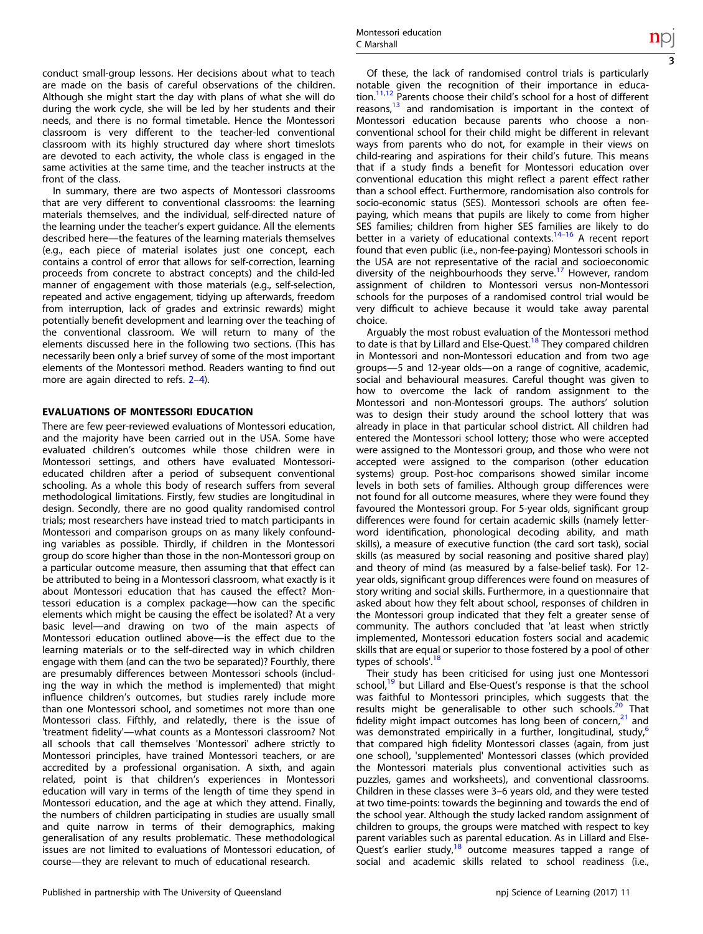conduct small-group lessons. Her decisions about what to teach are made on the basis of careful observations of the children. Although she might start the day with plans of what she will do during the work cycle, she will be led by her students and their needs, and there is no formal timetable. Hence the Montessori classroom is very different to the teacher-led conventional classroom with its highly structured day where short timeslots are devoted to each activity, the whole class is engaged in the same activities at the same time, and the teacher instructs at the front of the class.

In summary, there are two aspects of Montessori classrooms that are very different to conventional classrooms: the learning materials themselves, and the individual, self-directed nature of the learning under the teacher's expert guidance. All the elements described here—the features of the learning materials themselves (e.g., each piece of material isolates just one concept, each contains a control of error that allows for self-correction, learning proceeds from concrete to abstract concepts) and the child-led manner of engagement with those materials (e.g., self-selection, repeated and active engagement, tidying up afterwards, freedom from interruption, lack of grades and extrinsic rewards) might potentially benefit development and learning over the teaching of the conventional classroom. We will return to many of the elements discussed here in the following two sections. (This has necessarily been only a brief survey of some of the most important elements of the Montessori method. Readers wanting to find out more are again directed to refs. [2](#page-7-0)-[4](#page-7-0)).

There are few peer-reviewed evaluations of Montessori education, and the majority have been carried out in the USA. Some have evaluated children's outcomes while those children were in Montessori settings, and others have evaluated Montessorieducated children after a period of subsequent conventional schooling. As a whole this body of research suffers from several methodological limitations. Firstly, few studies are longitudinal in design. Secondly, there are no good quality randomised control trials; most researchers have instead tried to match participants in Montessori and comparison groups on as many likely confounding variables as possible. Thirdly, if children in the Montessori group do score higher than those in the non-Montessori group on a particular outcome measure, then assuming that that effect can be attributed to being in a Montessori classroom, what exactly is it about Montessori education that has caused the effect? Montessori education is a complex package—how can the specific elements which might be causing the effect be isolated? At a very basic level—and drawing on two of the main aspects of Montessori education outlined above—is the effect due to the learning materials or to the self-directed way in which children engage with them (and can the two be separated)? Fourthly, there are presumably differences between Montessori schools (including the way in which the method is implemented) that might influence children's outcomes, but studies rarely include more than one Montessori school, and sometimes not more than one Montessori class. Fifthly, and relatedly, there is the issue of 'treatment fidelity'—what counts as a Montessori classroom? Not all schools that call themselves 'Montessori' adhere strictly to Montessori principles, have trained Montessori teachers, or are accredited by a professional organisation. A sixth, and again related, point is that children's experiences in Montessori education will vary in terms of the length of time they spend in Montessori education, and the age at which they attend. Finally, the numbers of children participating in studies are usually small and quite narrow in terms of their demographics, making generalisation of any results problematic. These methodological issues are not limited to evaluations of Montessori education, of course—they are relevant to much of educational research.

Of these, the lack of randomised control trials is particularly notable given the recognition of their importance in educa-tion.<sup>11,[12](#page-7-0)</sup> Parents choose their child's school for a host of different reasons, $13$  and randomisation is important in the context of Montessori education because parents who choose a nonconventional school for their child might be different in relevant ways from parents who do not, for example in their views on child-rearing and aspirations for their child's future. This means that if a study finds a benefit for Montessori education over conventional education this might reflect a parent effect rather than a school effect. Furthermore, randomisation also controls for socio-economic status (SES). Montessori schools are often feepaying, which means that pupils are likely to come from higher SES families; children from higher SES families are likely to do better in a variety of educational contexts.<sup>[14](#page-7-0)–[16](#page-7-0)</sup> A recent report found that even public (i.e., non-fee-paying) Montessori schools in the USA are not representative of the racial and socioeconomic diversity of the neighbourhoods they serve.<sup>[17](#page-7-0)</sup> However, random assignment of children to Montessori versus non-Montessori schools for the purposes of a randomised control trial would be very difficult to achieve because it would take away parental choice.

Arguably the most robust evaluation of the Montessori method to date is that by Lillard and Else-Quest.<sup>[18](#page-7-0)</sup> They compared children in Montessori and non-Montessori education and from two age groups—5 and 12-year olds—on a range of cognitive, academic, social and behavioural measures. Careful thought was given to how to overcome the lack of random assignment to the Montessori and non-Montessori groups. The authors' solution was to design their study around the school lottery that was already in place in that particular school district. All children had entered the Montessori school lottery; those who were accepted were assigned to the Montessori group, and those who were not accepted were assigned to the comparison (other education systems) group. Post-hoc comparisons showed similar income levels in both sets of families. Although group differences were not found for all outcome measures, where they were found they favoured the Montessori group. For 5-year olds, significant group differences were found for certain academic skills (namely letterword identification, phonological decoding ability, and math skills), a measure of executive function (the card sort task), social skills (as measured by social reasoning and positive shared play) and theory of mind (as measured by a false-belief task). For 12 year olds, significant group differences were found on measures of story writing and social skills. Furthermore, in a questionnaire that asked about how they felt about school, responses of children in the Montessori group indicated that they felt a greater sense of community. The authors concluded that 'at least when strictly implemented, Montessori education fosters social and academic skills that are equal or superior to those fostered by a pool of other types of schools'.<sup>[18](#page-7-0)</sup>

Their study has been criticised for using just one Montessori school,<sup>[19](#page-7-0)</sup> but Lillard and Else-Quest's response is that the school was faithful to Montessori principles, which suggests that the results might be generalisable to other such schools.<sup>[20](#page-7-0)</sup> That fidelity might impact outcomes has long been of concern,<sup>[21](#page-7-0)</sup> and was demonstrated empirically in a further, longitudinal, study, $6$ that compared high fidelity Montessori classes (again, from just one school), 'supplemented' Montessori classes (which provided the Montessori materials plus conventional activities such as puzzles, games and worksheets), and conventional classrooms. Children in these classes were 3–6 years old, and they were tested at two time-points: towards the beginning and towards the end of the school year. Although the study lacked random assignment of children to groups, the groups were matched with respect to key parent variables such as parental education. As in Lillard and Else-Quest's earlier study, $18$  outcome measures tapped a range of social and academic skills related to school readiness (i.e.,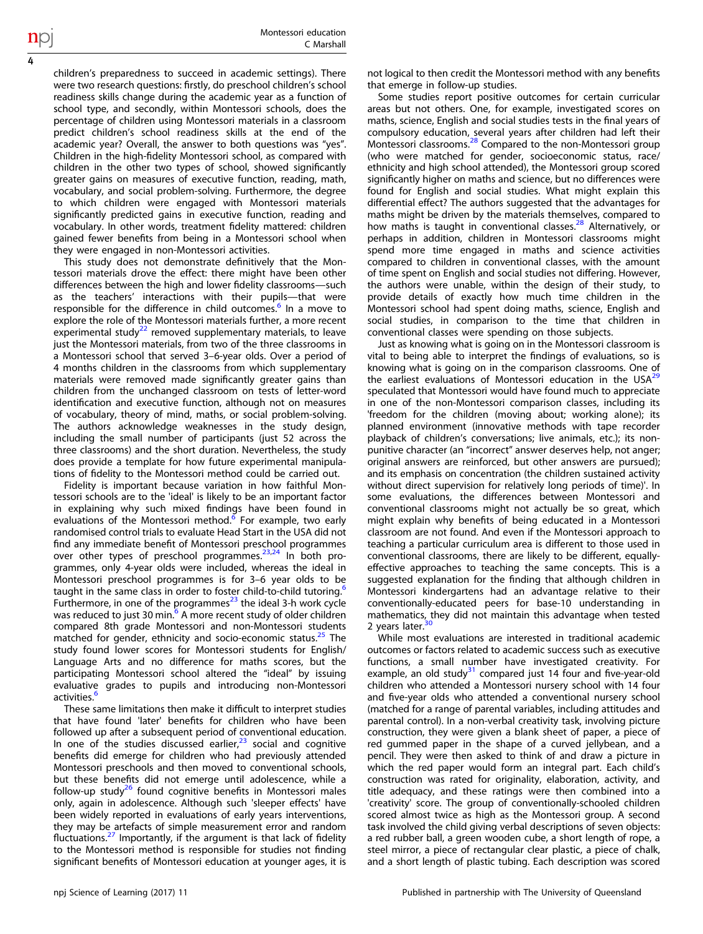children's preparedness to succeed in academic settings). There were two research questions: firstly, do preschool children's school readiness skills change during the academic year as a function of school type, and secondly, within Montessori schools, does the percentage of children using Montessori materials in a classroom predict children's school readiness skills at the end of the academic year? Overall, the answer to both questions was "yes". Children in the high-fidelity Montessori school, as compared with children in the other two types of school, showed significantly greater gains on measures of executive function, reading, math, vocabulary, and social problem-solving. Furthermore, the degree to which children were engaged with Montessori materials significantly predicted gains in executive function, reading and vocabulary. In other words, treatment fidelity mattered: children gained fewer benefits from being in a Montessori school when they were engaged in non-Montessori activities.

This study does not demonstrate definitively that the Montessori materials drove the effect: there might have been other differences between the high and lower fidelity classrooms—such as the teachers' interactions with their pupils—that were responsible for the difference in child outcomes.<sup>[6](#page-7-0)</sup> In a move to explore the role of the Montessori materials further, a more recent experimental study<sup>[22](#page-7-0)</sup> removed supplementary materials, to leave just the Montessori materials, from two of the three classrooms in a Montessori school that served 3–6-year olds. Over a period of 4 months children in the classrooms from which supplementary materials were removed made significantly greater gains than children from the unchanged classroom on tests of letter-word identification and executive function, although not on measures of vocabulary, theory of mind, maths, or social problem-solving. The authors acknowledge weaknesses in the study design, including the small number of participants (just 52 across the three classrooms) and the short duration. Nevertheless, the study does provide a template for how future experimental manipulations of fidelity to the Montessori method could be carried out.

Fidelity is important because variation in how faithful Montessori schools are to the 'ideal' is likely to be an important factor in explaining why such mixed findings have been found in evaluations of the Montessori method. $\overline{6}$  $\overline{6}$  $\overline{6}$  For example, two early randomised control trials to evaluate Head Start in the USA did not find any immediate benefit of Montessori preschool programmes over other types of preschool programmes.<sup>[23,24](#page-7-0)</sup> In both programmes, only 4-year olds were included, whereas the ideal in Montessori preschool programmes is for 3–6 year olds to be taught in the same class in order to foster child-to-child tutoring.<sup>[6](#page-7-0)</sup> Furthermore, in one of the programmes $^{23}$  $^{23}$  $^{23}$  the ideal 3-h work cycle was reduced to just 30 min.<sup>[6](#page-7-0)</sup> A more recent study of older children compared 8th grade Montessori and non-Montessori students matched for gender, ethnicity and socio-economic status.<sup>[25](#page-7-0)</sup> The study found lower scores for Montessori students for English/ Language Arts and no difference for maths scores, but the participating Montessori school altered the "ideal" by issuing evaluative grades to pupils and introducing non-Montessori activities.<sup>[6](#page-7-0)</sup>

These same limitations then make it difficult to interpret studies that have found 'later' benefits for children who have been followed up after a subsequent period of conventional education. In one of the studies discussed earlier, $^{23}$  $^{23}$  $^{23}$  social and cognitive benefits did emerge for children who had previously attended Montessori preschools and then moved to conventional schools, but these benefits did not emerge until adolescence, while a follow-up study $^{26}$  $^{26}$  $^{26}$  found cognitive benefits in Montessori males only, again in adolescence. Although such 'sleeper effects' have been widely reported in evaluations of early years interventions, they may be artefacts of simple measurement error and random fluctuations. $27$  Importantly, if the argument is that lack of fidelity to the Montessori method is responsible for studies not finding significant benefits of Montessori education at younger ages, it is not logical to then credit the Montessori method with any benefits that emerge in follow-up studies.

Some studies report positive outcomes for certain curricular areas but not others. One, for example, investigated scores on maths, science, English and social studies tests in the final years of compulsory education, several years after children had left their Montessori classrooms.<sup>[28](#page-7-0)</sup> Compared to the non-Montessori group (who were matched for gender, socioeconomic status, race/ ethnicity and high school attended), the Montessori group scored significantly higher on maths and science, but no differences were found for English and social studies. What might explain this differential effect? The authors suggested that the advantages for maths might be driven by the materials themselves, compared to how maths is taught in conventional classes.<sup>[28](#page-7-0)</sup> Alternatively, or perhaps in addition, children in Montessori classrooms might spend more time engaged in maths and science activities compared to children in conventional classes, with the amount of time spent on English and social studies not differing. However, the authors were unable, within the design of their study, to provide details of exactly how much time children in the Montessori school had spent doing maths, science, English and social studies, in comparison to the time that children in conventional classes were spending on those subjects.

Just as knowing what is going on in the Montessori classroom is vital to being able to interpret the findings of evaluations, so is knowing what is going on in the comparison classrooms. One of the earliest evaluations of Montessori education in the USA $^{22}$ speculated that Montessori would have found much to appreciate in one of the non-Montessori comparison classes, including its 'freedom for the children (moving about; working alone); its planned environment (innovative methods with tape recorder playback of children's conversations; live animals, etc.); its nonpunitive character (an "incorrect" answer deserves help, not anger; original answers are reinforced, but other answers are pursued); and its emphasis on concentration (the children sustained activity without direct supervision for relatively long periods of time)'. In some evaluations, the differences between Montessori and conventional classrooms might not actually be so great, which might explain why benefits of being educated in a Montessori classroom are not found. And even if the Montessori approach to teaching a particular curriculum area is different to those used in conventional classrooms, there are likely to be different, equallyeffective approaches to teaching the same concepts. This is a suggested explanation for the finding that although children in Montessori kindergartens had an advantage relative to their conventionally-educated peers for base-10 understanding in mathematics, they did not maintain this advantage when tested 2 years later.<sup>[30](#page-7-0)</sup>

While most evaluations are interested in traditional academic outcomes or factors related to academic success such as executive functions, a small number have investigated creativity. For example, an old study $31$  compared just 14 four and five-year-old children who attended a Montessori nursery school with 14 four and five-year olds who attended a conventional nursery school (matched for a range of parental variables, including attitudes and parental control). In a non-verbal creativity task, involving picture construction, they were given a blank sheet of paper, a piece of red gummed paper in the shape of a curved jellybean, and a pencil. They were then asked to think of and draw a picture in which the red paper would form an integral part. Each child's construction was rated for originality, elaboration, activity, and title adequacy, and these ratings were then combined into a 'creativity' score. The group of conventionally-schooled children scored almost twice as high as the Montessori group. A second task involved the child giving verbal descriptions of seven objects: a red rubber ball, a green wooden cube, a short length of rope, a steel mirror, a piece of rectangular clear plastic, a piece of chalk, and a short length of plastic tubing. Each description was scored

4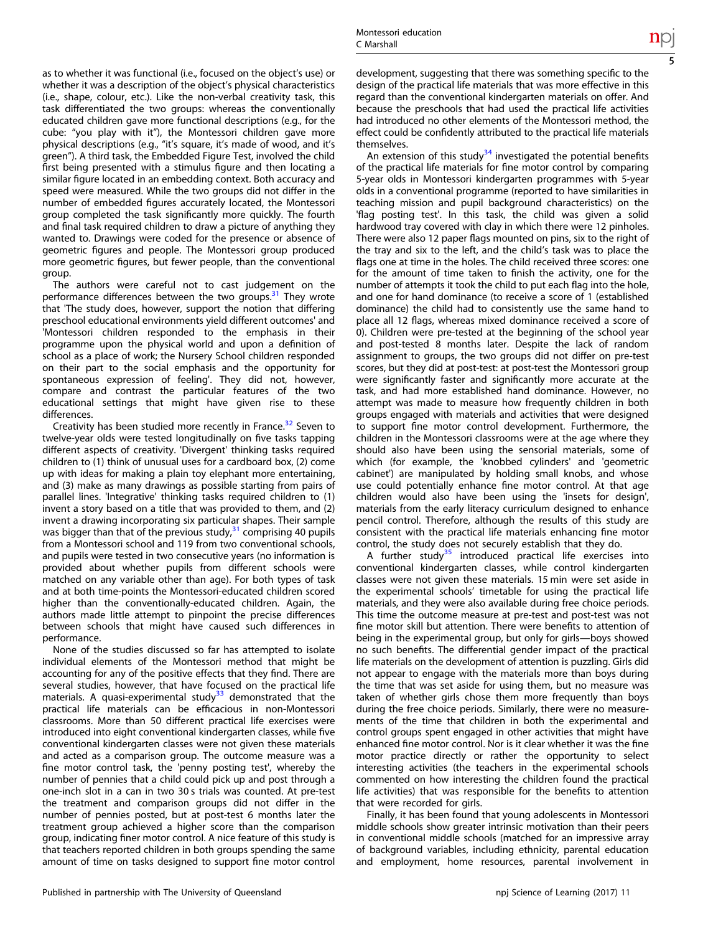as to whether it was functional (i.e., focused on the object's use) or whether it was a description of the object's physical characteristics (i.e., shape, colour, etc.). Like the non-verbal creativity task, this task differentiated the two groups: whereas the conventionally educated children gave more functional descriptions (e.g., for the cube: "you play with it"), the Montessori children gave more physical descriptions (e.g., "it's square, it's made of wood, and it's green"). A third task, the Embedded Figure Test, involved the child first being presented with a stimulus figure and then locating a similar figure located in an embedding context. Both accuracy and speed were measured. While the two groups did not differ in the number of embedded figures accurately located, the Montessori group completed the task significantly more quickly. The fourth and final task required children to draw a picture of anything they wanted to. Drawings were coded for the presence or absence of geometric figures and people. The Montessori group produced more geometric figures, but fewer people, than the conventional group.

The authors were careful not to cast judgement on the performance differences between the two groups. $31$  They wrote that 'The study does, however, support the notion that differing preschool educational environments yield different outcomes' and 'Montessori children responded to the emphasis in their programme upon the physical world and upon a definition of school as a place of work; the Nursery School children responded on their part to the social emphasis and the opportunity for spontaneous expression of feeling'. They did not, however, compare and contrast the particular features of the two educational settings that might have given rise to these differences.

Creativity has been studied more recently in France.<sup>[32](#page-7-0)</sup> Seven to twelve-year olds were tested longitudinally on five tasks tapping different aspects of creativity. 'Divergent' thinking tasks required children to (1) think of unusual uses for a cardboard box, (2) come up with ideas for making a plain toy elephant more entertaining, and (3) make as many drawings as possible starting from pairs of parallel lines. 'Integrative' thinking tasks required children to (1) invent a story based on a title that was provided to them, and (2) invent a drawing incorporating six particular shapes. Their sample was bigger than that of the previous study, $31$  comprising 40 pupils from a Montessori school and 119 from two conventional schools, and pupils were tested in two consecutive years (no information is provided about whether pupils from different schools were matched on any variable other than age). For both types of task and at both time-points the Montessori-educated children scored higher than the conventionally-educated children. Again, the authors made little attempt to pinpoint the precise differences between schools that might have caused such differences in performance.

None of the studies discussed so far has attempted to isolate individual elements of the Montessori method that might be accounting for any of the positive effects that they find. There are several studies, however, that have focused on the practical life materials. A quasi-experimental study $33$  demonstrated that the practical life materials can be efficacious in non-Montessori classrooms. More than 50 different practical life exercises were introduced into eight conventional kindergarten classes, while five conventional kindergarten classes were not given these materials and acted as a comparison group. The outcome measure was a fine motor control task, the 'penny posting test', whereby the number of pennies that a child could pick up and post through a one-inch slot in a can in two 30 s trials was counted. At pre-test the treatment and comparison groups did not differ in the number of pennies posted, but at post-test 6 months later the treatment group achieved a higher score than the comparison group, indicating finer motor control. A nice feature of this study is that teachers reported children in both groups spending the same amount of time on tasks designed to support fine motor control development, suggesting that there was something specific to the design of the practical life materials that was more effective in this regard than the conventional kindergarten materials on offer. And because the preschools that had used the practical life activities had introduced no other elements of the Montessori method, the effect could be confidently attributed to the practical life materials themselves.

An extension of this study $34$  investigated the potential benefits of the practical life materials for fine motor control by comparing 5-year olds in Montessori kindergarten programmes with 5-year olds in a conventional programme (reported to have similarities in teaching mission and pupil background characteristics) on the 'flag posting test'. In this task, the child was given a solid hardwood tray covered with clay in which there were 12 pinholes. There were also 12 paper flags mounted on pins, six to the right of the tray and six to the left, and the child's task was to place the flags one at time in the holes. The child received three scores: one for the amount of time taken to finish the activity, one for the number of attempts it took the child to put each flag into the hole, and one for hand dominance (to receive a score of 1 (established dominance) the child had to consistently use the same hand to place all 12 flags, whereas mixed dominance received a score of 0). Children were pre-tested at the beginning of the school year and post-tested 8 months later. Despite the lack of random assignment to groups, the two groups did not differ on pre-test scores, but they did at post-test: at post-test the Montessori group were significantly faster and significantly more accurate at the task, and had more established hand dominance. However, no attempt was made to measure how frequently children in both groups engaged with materials and activities that were designed to support fine motor control development. Furthermore, the children in the Montessori classrooms were at the age where they should also have been using the sensorial materials, some of which (for example, the 'knobbed cylinders' and 'geometric cabinet') are manipulated by holding small knobs, and whose use could potentially enhance fine motor control. At that age children would also have been using the 'insets for design', materials from the early literacy curriculum designed to enhance pencil control. Therefore, although the results of this study are consistent with the practical life materials enhancing fine motor control, the study does not securely establish that they do.

A further study<sup>[35](#page-7-0)</sup> introduced practical life exercises into conventional kindergarten classes, while control kindergarten classes were not given these materials. 15 min were set aside in the experimental schools' timetable for using the practical life materials, and they were also available during free choice periods. This time the outcome measure at pre-test and post-test was not fine motor skill but attention. There were benefits to attention of being in the experimental group, but only for girls—boys showed no such benefits. The differential gender impact of the practical life materials on the development of attention is puzzling. Girls did not appear to engage with the materials more than boys during the time that was set aside for using them, but no measure was taken of whether girls chose them more frequently than boys during the free choice periods. Similarly, there were no measurements of the time that children in both the experimental and control groups spent engaged in other activities that might have enhanced fine motor control. Nor is it clear whether it was the fine motor practice directly or rather the opportunity to select interesting activities (the teachers in the experimental schools commented on how interesting the children found the practical life activities) that was responsible for the benefits to attention that were recorded for girls.

Finally, it has been found that young adolescents in Montessori middle schools show greater intrinsic motivation than their peers in conventional middle schools (matched for an impressive array of background variables, including ethnicity, parental education and employment, home resources, parental involvement in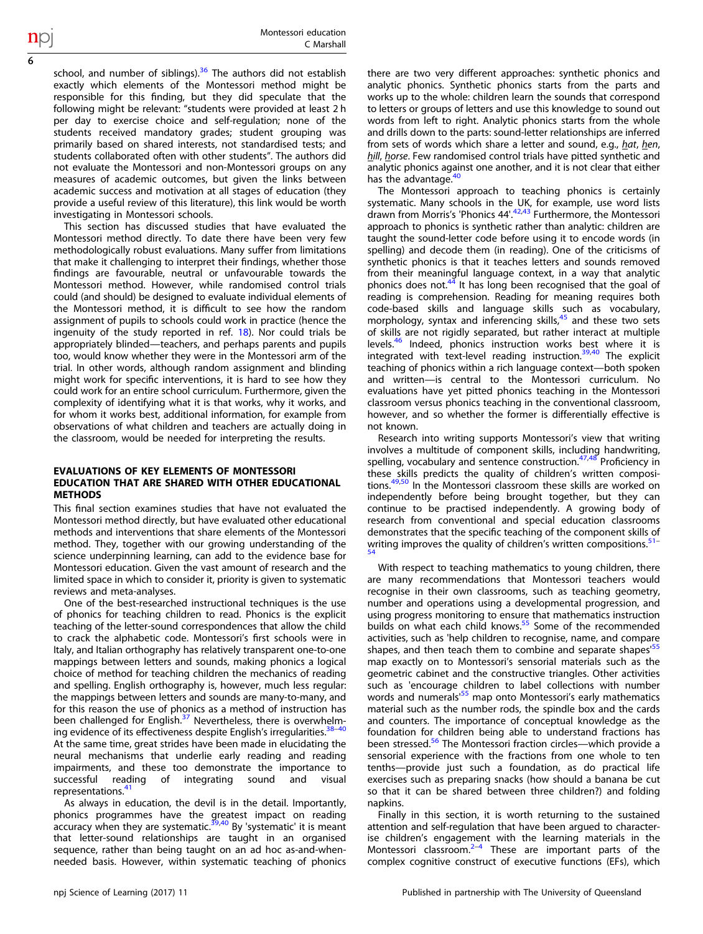school, and number of siblings). $36$  The authors did not establish exactly which elements of the Montessori method might be responsible for this finding, but they did speculate that the following might be relevant: "students were provided at least 2 h per day to exercise choice and self-regulation; none of the students received mandatory grades; student grouping was primarily based on shared interests, not standardised tests; and students collaborated often with other students". The authors did not evaluate the Montessori and non-Montessori groups on any measures of academic outcomes, but given the links between academic success and motivation at all stages of education (they provide a useful review of this literature), this link would be worth investigating in Montessori schools.

This section has discussed studies that have evaluated the Montessori method directly. To date there have been very few methodologically robust evaluations. Many suffer from limitations that make it challenging to interpret their findings, whether those findings are favourable, neutral or unfavourable towards the Montessori method. However, while randomised control trials could (and should) be designed to evaluate individual elements of the Montessori method, it is difficult to see how the random assignment of pupils to schools could work in practice (hence the ingenuity of the study reported in ref. [18\)](#page-7-0). Nor could trials be appropriately blinded—teachers, and perhaps parents and pupils too, would know whether they were in the Montessori arm of the trial. In other words, although random assignment and blinding might work for specific interventions, it is hard to see how they could work for an entire school curriculum. Furthermore, given the complexity of identifying what it is that works, why it works, and for whom it works best, additional information, for example from observations of what children and teachers are actually doing in the classroom, would be needed for interpreting the results.

### **EVALUATIONS OF KEY ELEMENTS OF MONTESSORI** EDUCATION THAT ARE SHARED WITH OTHER EDUCATIONAL **METHODS**

This final section examines studies that have not evaluated the Montessori method directly, but have evaluated other educational methods and interventions that share elements of the Montessori method. They, together with our growing understanding of the science underpinning learning, can add to the evidence base for Montessori education. Given the vast amount of research and the limited space in which to consider it, priority is given to systematic reviews and meta-analyses.

One of the best-researched instructional techniques is the use of phonics for teaching children to read. Phonics is the explicit teaching of the letter-sound correspondences that allow the child to crack the alphabetic code. Montessori's first schools were in Italy, and Italian orthography has relatively transparent one-to-one mappings between letters and sounds, making phonics a logical choice of method for teaching children the mechanics of reading and spelling. English orthography is, however, much less regular: the mappings between letters and sounds are many-to-many, and for this reason the use of phonics as a method of instruction has been challenged for English.<sup>[37](#page-7-0)</sup> Nevertheless, there is overwhelming evidence of its effectiveness despite English's irregularities.<sup>38</sup> At the same time, great strides have been made in elucidating the neural mechanisms that underlie early reading and reading impairments, and these too demonstrate the importance to successful reading of integrating sound and visual representations.<sup>4</sup>

As always in education, the devil is in the detail. Importantly, phonics programmes have the greatest impact on reading<br>accuracy when they are systematic.<sup>[39,40](#page-7-0)</sup> By 'systematic' it is meant that letter-sound relationships are taught in an organised sequence, rather than being taught on an ad hoc as-and-whenneeded basis. However, within systematic teaching of phonics

there are two very different approaches: synthetic phonics and analytic phonics. Synthetic phonics starts from the parts and works up to the whole: children learn the sounds that correspond to letters or groups of letters and use this knowledge to sound out words from left to right. Analytic phonics starts from the whole and drills down to the parts: sound-letter relationships are inferred from sets of words which share a letter and sound, e.g., hat, hen, hill, horse. Few randomised control trials have pitted synthetic and analytic phonics against one another, and it is not clear that either has the advantage. $\frac{4}{3}$ 

The Montessori approach to teaching phonics is certainly systematic. Many schools in the UK, for example, use word lists drawn from Morris's 'Phonics 44'.[42,43](#page-7-0) Furthermore, the Montessori approach to phonics is synthetic rather than analytic: children are taught the sound-letter code before using it to encode words (in spelling) and decode them (in reading). One of the criticisms of synthetic phonics is that it teaches letters and sounds removed from their meaningful language context, in a way that analytic phonics does not. $44$  It has long been recognised that the goal of reading is comprehension. Reading for meaning requires both code-based skills and language skills such as vocabulary, morphology, syntax and inferencing skills, $45$  and these two sets of skills are not rigidly separated, but rather interact at multiple levels. $46$  Indeed, phonics instruction works best where it is integrated with text-level reading instruction.<sup>[39,40](#page-7-0)</sup> The explicit teaching of phonics within a rich language context—both spoken and written—is central to the Montessori curriculum. No evaluations have yet pitted phonics teaching in the Montessori classroom versus phonics teaching in the conventional classroom, however, and so whether the former is differentially effective is not known.

Research into writing supports Montessori's view that writing involves a multitude of component skills, including handwriting, spelling, vocabulary and sentence construction.<sup>[47,48](#page-7-0)</sup> Proficiency in these skills predicts the quality of children's written composi-tions.<sup>[49](#page-7-0),[50](#page-7-0)</sup> In the Montessori classroom these skills are worked on independently before being brought together, but they can continue to be practised independently. A growing body of research from conventional and special education classrooms demonstrates that the specific teaching of the component skills of writing improves the quality of children's written compositions.<sup>[51](#page-7-0)–</sup> [54](#page-7-0)

With respect to teaching mathematics to young children, there are many recommendations that Montessori teachers would recognise in their own classrooms, such as teaching geometry, number and operations using a developmental progression, and using progress monitoring to ensure that mathematics instruction builds on what each child knows.<sup>[55](#page-7-0)</sup> Some of the recommended activities, such as 'help children to recognise, name, and compare shapes, and then teach them to combine and separate shapes<sup>1[55](#page-7-0)</sup> map exactly on to Montessori's sensorial materials such as the geometric cabinet and the constructive triangles. Other activities such as 'encourage children to label collections with number words and numerals<sup>1[55](#page-7-0)</sup> map onto Montessori's early mathematics material such as the number rods, the spindle box and the cards and counters. The importance of conceptual knowledge as the foundation for children being able to understand fractions has been stressed.<sup>[56](#page-7-0)</sup> The Montessori fraction circles—which provide a sensorial experience with the fractions from one whole to ten tenths—provide just such a foundation, as do practical life exercises such as preparing snacks (how should a banana be cut so that it can be shared between three children?) and folding napkins.

Finally in this section, it is worth returning to the sustained attention and self-regulation that have been argued to characterise children's engagement with the learning materials in the Montessori classroom. $2-4$  $2-4$  $2-4$  These are important parts of the complex cognitive construct of executive functions (EFs), which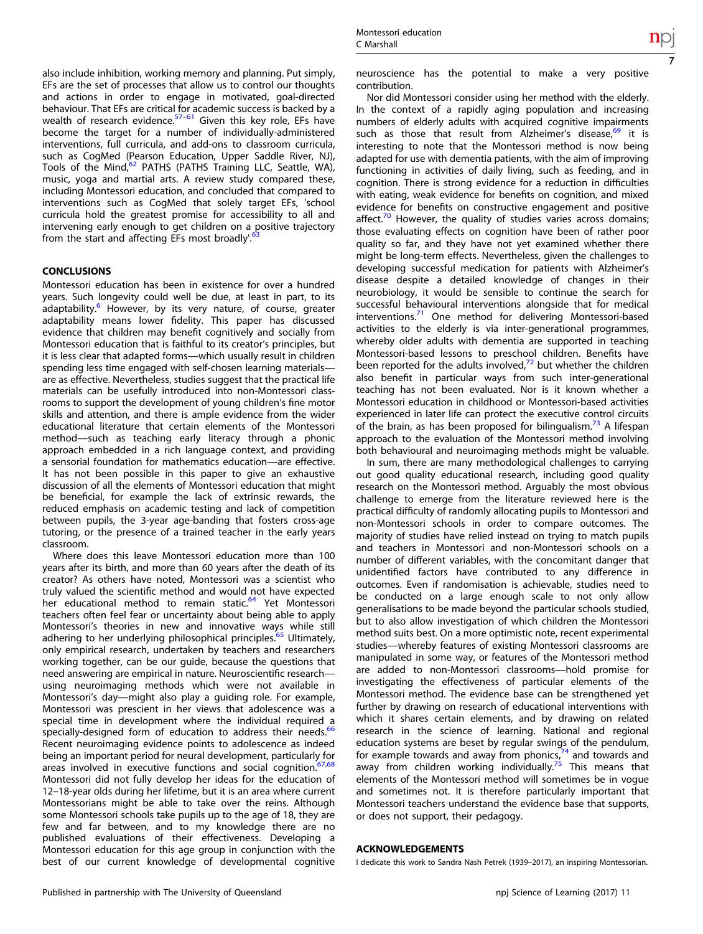7

also include inhibition, working memory and planning. Put simply, EFs are the set of processes that allow us to control our thoughts and actions in order to engage in motivated, goal-directed behaviour. That EFs are critical for academic success is backed by a wealth of research evidence.<sup>[57](#page-7-0)–[61](#page-8-0)</sup> Given this key role, EFs have become the target for a number of individually-administered interventions, full curricula, and add-ons to classroom curricula, such as CogMed (Pearson Education, Upper Saddle River, NJ), Tools of the Mind,<sup>[62](#page-8-0)</sup> PATHS (PATHS Training LLC, Seattle, WA), music, yoga and martial arts. A review study compared these, including Montessori education, and concluded that compared to interventions such as CogMed that solely target EFs, 'school curricula hold the greatest promise for accessibility to all and intervening early enough to get children on a positive trajectory from the start and affecting EFs most broadly'.<sup>6</sup>

Montessori education has been in existence for over a hundred years. Such longevity could well be due, at least in part, to its adaptability.<sup>[6](#page-7-0)</sup> However, by its very nature, of course, greater adaptability means lower fidelity. This paper has discussed evidence that children may benefit cognitively and socially from Montessori education that is faithful to its creator's principles, but it is less clear that adapted forms—which usually result in children spending less time engaged with self-chosen learning materials are as effective. Nevertheless, studies suggest that the practical life materials can be usefully introduced into non-Montessori classrooms to support the development of young children's fine motor skills and attention, and there is ample evidence from the wider educational literature that certain elements of the Montessori method—such as teaching early literacy through a phonic approach embedded in a rich language context, and providing a sensorial foundation for mathematics education—are effective. It has not been possible in this paper to give an exhaustive discussion of all the elements of Montessori education that might be beneficial, for example the lack of extrinsic rewards, the reduced emphasis on academic testing and lack of competition between pupils, the 3-year age-banding that fosters cross-age tutoring, or the presence of a trained teacher in the early years classroom.

Where does this leave Montessori education more than 100 years after its birth, and more than 60 years after the death of its creator? As others have noted, Montessori was a scientist who truly valued the scientific method and would not have expected her educational method to remain static.<sup>[64](#page-8-0)</sup> Yet Montessori teachers often feel fear or uncertainty about being able to apply Montessori's theories in new and innovative ways while still adhering to her underlying philosophical principles.<sup>[65](#page-8-0)</sup> Ultimately, only empirical research, undertaken by teachers and researchers working together, can be our guide, because the questions that need answering are empirical in nature. Neuroscientific research using neuroimaging methods which were not available in Montessori's day—might also play a guiding role. For example, Montessori was prescient in her views that adolescence was a special time in development where the individual required a specially-designed form of education to address their needs.<sup>[66](#page-8-0)</sup> Recent neuroimaging evidence points to adolescence as indeed being an important period for neural development, particularly for areas involved in executive functions and social cognition.<sup>[67,68](#page-8-0)</sup> Montessori did not fully develop her ideas for the education of 12–18-year olds during her lifetime, but it is an area where current Montessorians might be able to take over the reins. Although some Montessori schools take pupils up to the age of 18, they are few and far between, and to my knowledge there are no published evaluations of their effectiveness. Developing a Montessori education for this age group in conjunction with the best of our current knowledge of developmental cognitive neuroscience has the potential to make a very positive contribution.

Nor did Montessori consider using her method with the elderly. In the context of a rapidly aging population and increasing numbers of elderly adults with acquired cognitive impairments such as those that result from Alzheimer's disease.<sup>[69](#page-8-0)</sup> it is interesting to note that the Montessori method is now being adapted for use with dementia patients, with the aim of improving functioning in activities of daily living, such as feeding, and in cognition. There is strong evidence for a reduction in difficulties with eating, weak evidence for benefits on cognition, and mixed evidence for benefits on constructive engagement and positive affect. $70$  However, the quality of studies varies across domains; those evaluating effects on cognition have been of rather poor quality so far, and they have not yet examined whether there might be long-term effects. Nevertheless, given the challenges to developing successful medication for patients with Alzheimer's disease despite a detailed knowledge of changes in their neurobiology, it would be sensible to continue the search for successful behavioural interventions alongside that for medical interventions.<sup>[71](#page-8-0)</sup> One method for delivering Montessori-based activities to the elderly is via inter-generational programmes, whereby older adults with dementia are supported in teaching Montessori-based lessons to preschool children. Benefits have been reported for the adults involved, $72$  but whether the children also benefit in particular ways from such inter-generational teaching has not been evaluated. Nor is it known whether a Montessori education in childhood or Montessori-based activities experienced in later life can protect the executive control circuits of the brain, as has been proposed for bilingualism.<sup>[73](#page-8-0)</sup> A lifespan approach to the evaluation of the Montessori method involving both behavioural and neuroimaging methods might be valuable.

In sum, there are many methodological challenges to carrying out good quality educational research, including good quality research on the Montessori method. Arguably the most obvious challenge to emerge from the literature reviewed here is the practical difficulty of randomly allocating pupils to Montessori and non-Montessori schools in order to compare outcomes. The majority of studies have relied instead on trying to match pupils and teachers in Montessori and non-Montessori schools on a number of different variables, with the concomitant danger that unidentified factors have contributed to any difference in outcomes. Even if randomisation is achievable, studies need to be conducted on a large enough scale to not only allow generalisations to be made beyond the particular schools studied, but to also allow investigation of which children the Montessori method suits best. On a more optimistic note, recent experimental studies—whereby features of existing Montessori classrooms are manipulated in some way, or features of the Montessori method are added to non-Montessori classrooms—hold promise for investigating the effectiveness of particular elements of the Montessori method. The evidence base can be strengthened yet further by drawing on research of educational interventions with which it shares certain elements, and by drawing on related research in the science of learning. National and regional education systems are beset by regular swings of the pendulum, for example towards and away from phonics, $74$  and towards and away from children working individually.<sup>[75](#page-8-0)</sup> This means that elements of the Montessori method will sometimes be in vogue and sometimes not. It is therefore particularly important that Montessori teachers understand the evidence base that supports, or does not support, their pedagogy.

-------------------------------<br>I dedicate this work to Sandra Nash Petrek (1939–2017), an inspiring Montessorian.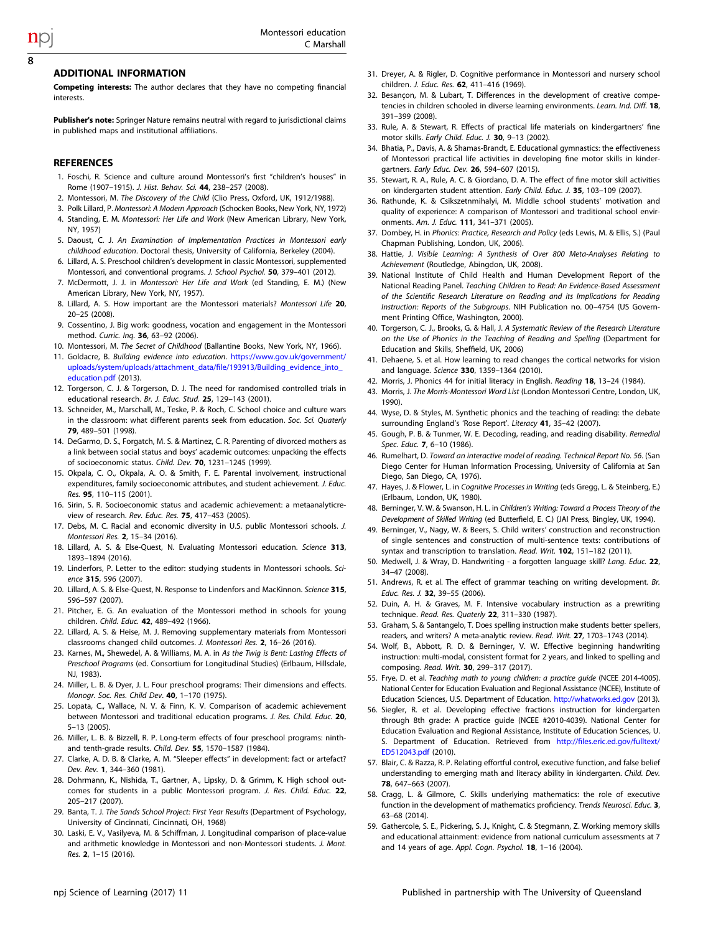<span id="page-7-0"></span>**Competing interests:** The author declares that they have no competing financial interests.

Publisher's note: Springer Nature remains neutral with regard to jurisdictional claims in published maps and institutional affiliations.

### **REFERENCES**

- 1. Foschi, R. Science and culture around Montessori's first "children's houses" in Rome (1907–1915). J. Hist. Behav. Sci. 44, 238–257 (2008).
- 2. Montessori, M. The Discovery of the Child (Clio Press, Oxford, UK, 1912/1988).
- 3. Polk Lillard, P. Montessori: A Modern Approach (Schocken Books, New York, NY, 1972) 4. Standing, E. M. Montessori: Her Life and Work (New American Library, New York, NY, 1957)
- 5. Daoust, C. J. An Examination of Implementation Practices in Montessori early childhood education. Doctoral thesis, University of California, Berkeley (2004).
- 6. Lillard, A. S. Preschool children's development in classic Montessori, supplemented Montessori, and conventional programs. J. School Psychol. 50, 379–401 (2012).
- 7. McDermott, J. J. in Montessori: Her Life and Work (ed Standing, E. M.) (New American Library, New York, NY, 1957).
- 8. Lillard, A. S. How important are the Montessori materials? Montessori Life 20, 20–25 (2008).
- 9. Cossentino, J. Big work: goodness, vocation and engagement in the Montessori method. Curric. Inq. 36, 63-92 (2006).
- 10. Montessori, M. The Secret of Childhood (Ballantine Books, New York, NY, 1966).
- 11. Goldacre, B. Building evidence into education. [https://www.gov.uk/government/](https://www.gov.uk/government/uploads/system/uploads/attachment_data/file/193913/Building_evidence_into_education.pdf) [uploads/system/uploads/attachment\\_data/](https://www.gov.uk/government/uploads/system/uploads/attachment_data/file/193913/Building_evidence_into_education.pdf)file/193913/Building\_evidence\_into\_ [education.pdf](https://www.gov.uk/government/uploads/system/uploads/attachment_data/file/193913/Building_evidence_into_education.pdf) (2013).
- 12. Torgerson, C. J. & Torgerson, D. J. The need for randomised controlled trials in educational research. Br. J. Educ. Stud. 25, 129-143 (2001).
- 13. Schneider, M., Marschall, M., Teske, P. & Roch, C. School choice and culture wars in the classroom: what different parents seek from education. Soc. Sci. Quaterly 79, 489–501 (1998).
- 14. DeGarmo, D. S., Forgatch, M. S. & Martinez, C. R. Parenting of divorced mothers as a link between social status and boys' academic outcomes: unpacking the effects of socioeconomic status. Child. Dev. 70, 1231–1245 (1999).
- 15. Okpala, C. O., Okpala, A. O. & Smith, F. E. Parental involvement, instructional expenditures, family socioeconomic attributes, and student achievement. J. Educ. Res. 95, 110–115 (2001).
- 16. Sirin, S. R. Socioeconomic status and academic achievement: a metaanalyticreview of research. Rev. Educ. Res. 75, 417–453 (2005).
- 17. Debs, M. C. Racial and economic diversity in U.S. public Montessori schools. J. Montessori Res. 2, 15–34 (2016).
- 18. Lillard, A. S. & Else-Quest, N. Evaluating Montessori education. Science 313, 1893–1894 (2016).
- 19. Linderfors, P. Letter to the editor: studying students in Montessori schools. Science 315, 596 (2007).
- 20. Lillard, A. S. & Else-Quest, N. Response to Lindenfors and MacKinnon. Science 315, 596–597 (2007).
- 21. Pitcher, E. G. An evaluation of the Montessori method in schools for young children. Child. Educ. 42, 489–492 (1966).
- 22. Lillard, A. S. & Heise, M. J. Removing supplementary materials from Montessori classrooms changed child outcomes. J. Montessori Res. 2, 16–26 (2016).
- 23. Karnes, M., Shewedel, A. & Williams, M. A. in As the Twig is Bent: Lasting Effects of Preschool Programs (ed. Consortium for Longitudinal Studies) (Erlbaum, Hillsdale, NJ, 1983).
- 24. Miller, L. B. & Dyer, J. L. Four preschool programs: Their dimensions and effects. Monogr. Soc. Res. Child Dev. 40, 1–170 (1975).
- 25. Lopata, C., Wallace, N. V. & Finn, K. V. Comparison of academic achievement between Montessori and traditional education programs. J. Res. Child. Educ. 20, 5–13 (2005).
- 26. Miller, L. B. & Bizzell, R. P. Long-term effects of four preschool programs: ninthand tenth-grade results. Child. Dev. 55, 1570–1587 (1984).
- 27. Clarke, A. D. B. & Clarke, A. M. "Sleeper effects" in development: fact or artefact? Dev. Rev. 1, 344–360 (1981).
- 28. Dohrmann, K., Nishida, T., Gartner, A., Lipsky, D. & Grimm, K. High school outcomes for students in a public Montessori program. J. Res. Child. Educ. 22, 205–217 (2007).
- 29. Banta, T. J. The Sands School Project: First Year Results (Department of Psychology, University of Cincinnati, Cincinnati, OH, 1968)
- 30. Laski, E. V., Vasilyeva, M. & Schiffman, J. Longitudinal comparison of place-value and arithmetic knowledge in Montessori and non-Montessori students. J. Mont. Res. 2, 1–15 (2016).
- 31. Dreyer, A. & Rigler, D. Cognitive performance in Montessori and nursery school children. J. Educ. Res. 62, 411–416 (1969).
- 32. Besançon, M. & Lubart, T. Differences in the development of creative competencies in children schooled in diverse learning environments. Learn. Ind. Diff. 18, 391–399 (2008).
- 33. Rule, A. & Stewart, R. Effects of practical life materials on kindergartners' fine motor skills. Early Child. Educ. J. 30, 9–13 (2002).
- 34. Bhatia, P., Davis, A. & Shamas-Brandt, E. Educational gymnastics: the effectiveness of Montessori practical life activities in developing fine motor skills in kindergartners. Early Educ. Dev. 26, 594–607 (2015).
- 35. Stewart, R. A., Rule, A. C. & Giordano, D. A. The effect of fine motor skill activities on kindergarten student attention. Early Child. Educ. J. 35, 103–109 (2007).
- 36. Rathunde, K. & Csikszetnmihalyi, M. Middle school students' motivation and quality of experience: A comparison of Montessori and traditional school environments. Am. J. Educ. 111, 341–371 (2005).
- 37. Dombey, H. in Phonics: Practice, Research and Policy (eds Lewis, M. & Ellis, S.) (Paul Chapman Publishing, London, UK, 2006).
- 38. Hattie, J. Visible Learning: A Synthesis of Over 800 Meta-Analyses Relating to Achievement (Routledge, Abingdon, UK, 2008).
- 39. National Institute of Child Health and Human Development Report of the National Reading Panel. Teaching Children to Read: An Evidence-Based Assessment of the Scientific Research Literature on Reading and its Implications for Reading Instruction: Reports of the Subgroups. NIH Publication no. 00–4754 (US Government Printing Office, Washington, 2000).
- 40. Torgerson, C. J., Brooks, G. & Hall, J. A Systematic Review of the Research Literature on the Use of Phonics in the Teaching of Reading and Spelling (Department for Education and Skills, Sheffield, UK, 2006)
- 41. Dehaene, S. et al. How learning to read changes the cortical networks for vision and language. Science 330, 1359-1364 (2010).
- 42. Morris, J. Phonics 44 for initial literacy in English. Reading 18, 13–24 (1984).
- 43. Morris, J. The Morris-Montessori Word List (London Montessori Centre, London, UK, 1990).
- 44. Wyse, D. & Styles, M. Synthetic phonics and the teaching of reading: the debate surrounding England'<sup>s</sup> 'Rose Report'. Literacy 41, 35–42 (2007).
- 45. Gough, P. B. & Tunmer, W. E. Decoding, reading, and reading disability. Remedial Spec. Educ. 7, 6-10 (1986).
- 46. Rumelhart, D. Toward an interactive model of reading. Technical Report No. 56. (San Diego Center for Human Information Processing, University of California at San Diego, San Diego, CA, 1976).
- 47. Hayes, J. & Flower, L. in Cognitive Processes in Writing (eds Gregg, L. & Steinberg, E.) (Erlbaum, London, UK, 1980).
- 48. Berninger, V. W. & Swanson, H. L. in Children's Writing: Toward a Process Theory of the Development of Skilled Writing (ed Butterfield, E. C.) (JAI Press, Bingley, UK, 1994).
- 49. Berninger, V., Nagy, W. & Beers, S. Child writers' construction and reconstruction of single sentences and construction of multi-sentence texts: contributions of syntax and transcription to translation. Read. Writ. 102, 151-182 (2011).
- 50. Medwell, J. & Wray, D. Handwriting a forgotten language skill? Lang. Educ. 22, 34–47 (2008).
- 51. Andrews, R. et al. The effect of grammar teaching on writing development. Br. Educ. Res. J. 32, 39–55 (2006).
- 52. Duin, A. H. & Graves, M. F. Intensive vocabulary instruction as a prewriting technique. Read. Res. Quaterly 22, 311–330 (1987).
- 53. Graham, S. & Santangelo, T. Does spelling instruction make students better spellers, readers, and writers? A meta-analytic review. Read. Writ. 27, 1703–1743 (2014).
- 54. Wolf, B., Abbott, R. D. & Berninger, V. W. Effective beginning handwriting instruction: multi-modal, consistent format for 2 years, and linked to spelling and composing. Read. Writ. 30, 299–317 (2017).
- 55. Frye, D. et al. Teaching math to young children: a practice guide (NCEE 2014-4005). National Center for Education Evaluation and Regional Assistance (NCEE), Institute of Education Sciences, U.S. Department of Education. <http://whatworks.ed.gov> (2013).
- 56. Siegler, R. et al. Developing effective fractions instruction for kindergarten through 8th grade: A practice guide (NCEE #2010-4039). National Center for Education Evaluation and Regional Assistance, Institute of Education Sciences, U. S. Department of Education. Retrieved from http://fi[les.eric.ed.gov/fulltext/](http://files.eric.ed.gov/fulltext/ED512043.pdf) [ED512043.pdf](http://files.eric.ed.gov/fulltext/ED512043.pdf) (2010).
- 57. Blair, C. & Razza, R. P. Relating effortful control, executive function, and false belief understanding to emerging math and literacy ability in kindergarten. Child. Dev. 78, 647–663 (2007).
- 58. Cragg, L. & Gilmore, C. Skills underlying mathematics: the role of executive function in the development of mathematics proficiency. Trends Neurosci. Educ. 3, 63–68 (2014).
- 59. Gathercole, S. E., Pickering, S. J., Knight, C. & Stegmann, Z. Working memory skills and educational attainment: evidence from national curriculum assessments at 7 and 14 years of age. Appl. Cogn. Psychol. 18, 1-16 (2004).